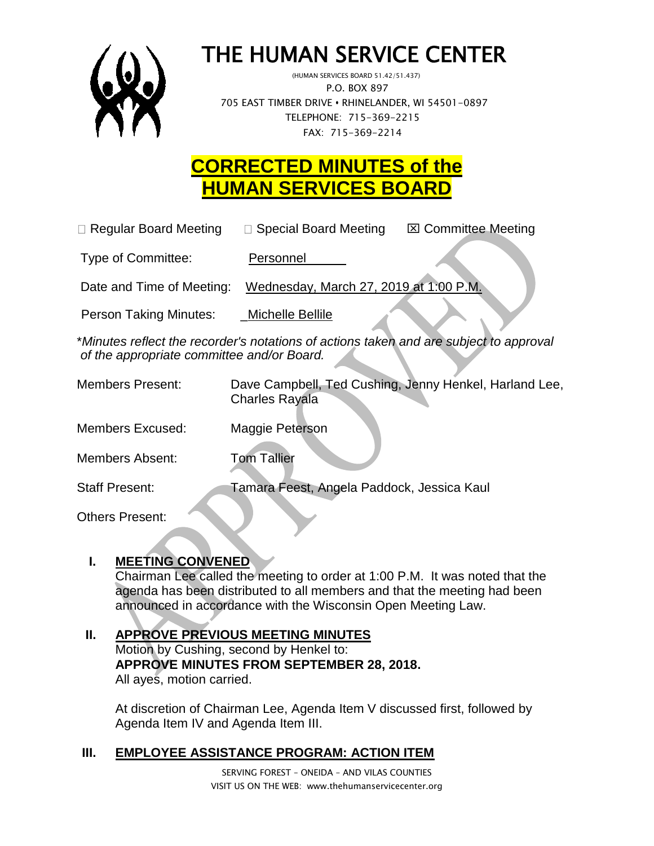

# THE HUMAN SERVICE CENTER

 (HUMAN SERVICES BOARD 51.42/51.437) P.O. BOX 897 705 EAST TIMBER DRIVE **•** RHINELANDER, WI 54501-0897 TELEPHONE: 715-369-2215 FAX: 715-369-2214

# **CORRECTED MINUTES of the HUMAN SERVICES BOARD**

| $\Box$ Regular Board Meeting  | $\Box$ Special Board Meeting           | <b>⊠ Committee Meeting</b> |
|-------------------------------|----------------------------------------|----------------------------|
| Type of Committee:            | Personnel                              |                            |
| Date and Time of Meeting:     | Wednesday, March 27, 2019 at 1:00 P.M. |                            |
| <b>Person Taking Minutes:</b> | Michelle Bellile                       |                            |

\**Minutes reflect the recorder's notations of actions taken and are subject to approval of the appropriate committee and/or Board.*

| <b>Members Present:</b> | Dave Campbell, Ted Cushing, Jenny Henkel, Harland Lee,<br><b>Charles Rayala</b> |
|-------------------------|---------------------------------------------------------------------------------|
| <b>Members Excused:</b> | Maggie Peterson                                                                 |
| Members Absent:         | <b>Tom Tallier</b>                                                              |
| <b>Staff Present:</b>   | Tamara Feest, Angela Paddock, Jessica Kaul                                      |

Others Present:

# **I. MEETING CONVENED**

Chairman Lee called the meeting to order at 1:00 P.M. It was noted that the agenda has been distributed to all members and that the meeting had been announced in accordance with the Wisconsin Open Meeting Law.

#### **II. APPROVE PREVIOUS MEETING MINUTES**  Motion by Cushing, second by Henkel to: **APPROVE MINUTES FROM SEPTEMBER 28, 2018.**  All ayes, motion carried.

At discretion of Chairman Lee, Agenda Item V discussed first, followed by Agenda Item IV and Agenda Item III.

# **III. EMPLOYEE ASSISTANCE PROGRAM: ACTION ITEM**

SERVING FOREST – ONEIDA – AND VILAS COUNTIES VISIT US ON THE WEB: www.thehumanservicecenter.org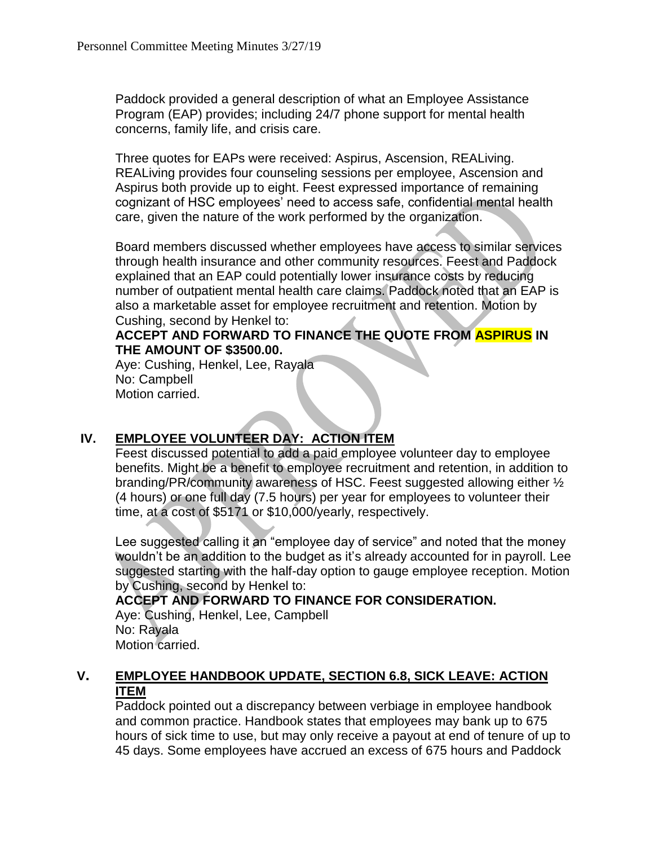Paddock provided a general description of what an Employee Assistance Program (EAP) provides; including 24/7 phone support for mental health concerns, family life, and crisis care.

Three quotes for EAPs were received: Aspirus, Ascension, REALiving. REALiving provides four counseling sessions per employee, Ascension and Aspirus both provide up to eight. Feest expressed importance of remaining cognizant of HSC employees' need to access safe, confidential mental health care, given the nature of the work performed by the organization.

Board members discussed whether employees have access to similar services through health insurance and other community resources. Feest and Paddock explained that an EAP could potentially lower insurance costs by reducing number of outpatient mental health care claims. Paddock noted that an EAP is also a marketable asset for employee recruitment and retention. Motion by Cushing, second by Henkel to:

### **ACCEPT AND FORWARD TO FINANCE THE QUOTE FROM ASPIRUS IN THE AMOUNT OF \$3500.00.**

Aye: Cushing, Henkel, Lee, Rayala No: Campbell Motion carried.

# **IV. EMPLOYEE VOLUNTEER DAY: ACTION ITEM**

Feest discussed potential to add a paid employee volunteer day to employee benefits. Might be a benefit to employee recruitment and retention, in addition to branding/PR/community awareness of HSC. Feest suggested allowing either ½ (4 hours) or one full day (7.5 hours) per year for employees to volunteer their time, at a cost of \$5171 or \$10,000/yearly, respectively.

Lee suggested calling it an "employee day of service" and noted that the money wouldn't be an addition to the budget as it's already accounted for in payroll. Lee suggested starting with the half-day option to gauge employee reception. Motion by Cushing, second by Henkel to:

# **ACCEPT AND FORWARD TO FINANCE FOR CONSIDERATION.**

Aye: Cushing, Henkel, Lee, Campbell No: Rayala Motion carried.

# **V. EMPLOYEE HANDBOOK UPDATE, SECTION 6.8, SICK LEAVE: ACTION ITEM**

Paddock pointed out a discrepancy between verbiage in employee handbook and common practice. Handbook states that employees may bank up to 675 hours of sick time to use, but may only receive a payout at end of tenure of up to 45 days. Some employees have accrued an excess of 675 hours and Paddock